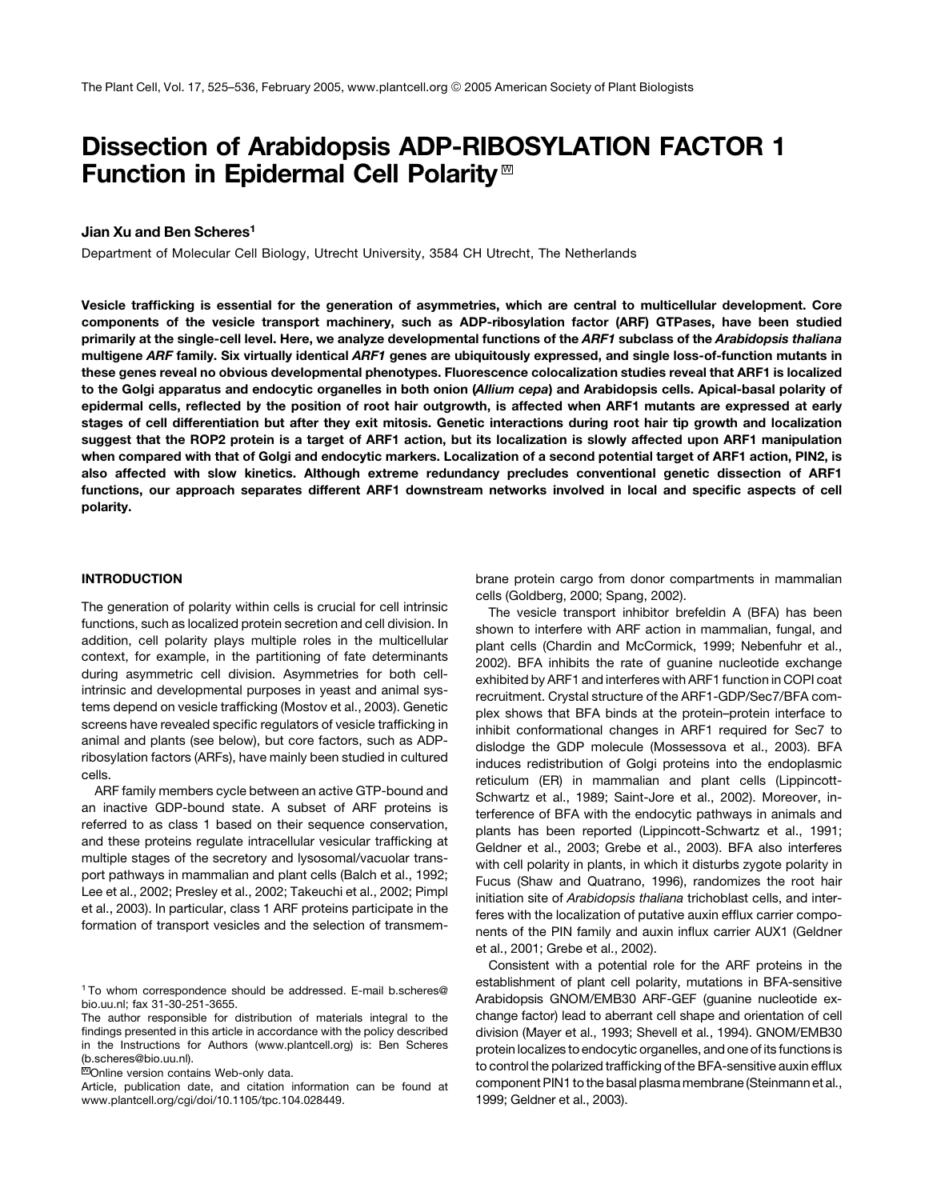# Dissection of Arabidopsis ADP-RIBOSYLATION FACTOR 1 Function in Epidermal Cell Polarity<sup> $M$ </sup>

# Jian Xu and Ben Scheres<sup>1</sup>

Department of Molecular Cell Biology, Utrecht University, 3584 CH Utrecht, The Netherlands

Vesicle trafficking is essential for the generation of asymmetries, which are central to multicellular development. Core components of the vesicle transport machinery, such as ADP-ribosylation factor (ARF) GTPases, have been studied primarily at the single-cell level. Here, we analyze developmental functions of the ARF1 subclass of the Arabidopsis thaliana multigene ARF family. Six virtually identical ARF1 genes are ubiquitously expressed, and single loss-of-function mutants in these genes reveal no obvious developmental phenotypes. Fluorescence colocalization studies reveal that ARF1 is localized to the Golgi apparatus and endocytic organelles in both onion (Allium cepa) and Arabidopsis cells. Apical-basal polarity of epidermal cells, reflected by the position of root hair outgrowth, is affected when ARF1 mutants are expressed at early stages of cell differentiation but after they exit mitosis. Genetic interactions during root hair tip growth and localization suggest that the ROP2 protein is a target of ARF1 action, but its localization is slowly affected upon ARF1 manipulation when compared with that of Golgi and endocytic markers. Localization of a second potential target of ARF1 action, PIN2, is also affected with slow kinetics. Although extreme redundancy precludes conventional genetic dissection of ARF1 functions, our approach separates different ARF1 downstream networks involved in local and specific aspects of cell polarity.

## INTRODUCTION

The generation of polarity within cells is crucial for cell intrinsic functions, such as localized protein secretion and cell division. In addition, cell polarity plays multiple roles in the multicellular context, for example, in the partitioning of fate determinants during asymmetric cell division. Asymmetries for both cellintrinsic and developmental purposes in yeast and animal systems depend on vesicle trafficking (Mostov et al., 2003). Genetic screens have revealed specific regulators of vesicle trafficking in animal and plants (see below), but core factors, such as ADPribosylation factors (ARFs), have mainly been studied in cultured cells.

ARF family members cycle between an active GTP-bound and an inactive GDP-bound state. A subset of ARF proteins is referred to as class 1 based on their sequence conservation, and these proteins regulate intracellular vesicular trafficking at multiple stages of the secretory and lysosomal/vacuolar transport pathways in mammalian and plant cells (Balch et al., 1992; Lee et al., 2002; Presley et al., 2002; Takeuchi et al., 2002; Pimpl et al., 2003). In particular, class 1 ARF proteins participate in the formation of transport vesicles and the selection of transmembrane protein cargo from donor compartments in mammalian cells (Goldberg, 2000; Spang, 2002).

The vesicle transport inhibitor brefeldin A (BFA) has been shown to interfere with ARF action in mammalian, fungal, and plant cells (Chardin and McCormick, 1999; Nebenfuhr et al., 2002). BFA inhibits the rate of guanine nucleotide exchange exhibited by ARF1 and interferes with ARF1 function in COPI coat recruitment. Crystal structure of the ARF1-GDP/Sec7/BFA complex shows that BFA binds at the protein–protein interface to inhibit conformational changes in ARF1 required for Sec7 to dislodge the GDP molecule (Mossessova et al., 2003). BFA induces redistribution of Golgi proteins into the endoplasmic reticulum (ER) in mammalian and plant cells (Lippincott-Schwartz et al., 1989; Saint-Jore et al., 2002). Moreover, interference of BFA with the endocytic pathways in animals and plants has been reported (Lippincott-Schwartz et al., 1991; Geldner et al., 2003; Grebe et al., 2003). BFA also interferes with cell polarity in plants, in which it disturbs zygote polarity in Fucus (Shaw and Quatrano, 1996), randomizes the root hair initiation site of *Arabidopsis thaliana* trichoblast cells, and interferes with the localization of putative auxin efflux carrier components of the PIN family and auxin influx carrier AUX1 (Geldner et al., 2001; Grebe et al., 2002).

Consistent with a potential role for the ARF proteins in the establishment of plant cell polarity, mutations in BFA-sensitive Arabidopsis GNOM/EMB30 ARF-GEF (guanine nucleotide exchange factor) lead to aberrant cell shape and orientation of cell division (Mayer et al., 1993; Shevell et al., 1994). GNOM/EMB30 protein localizes to endocytic organelles, and one of its functions is to control the polarized trafficking of the BFA-sensitive auxin efflux component PIN1 to the basal plasma membrane (Steinmann et al., 1999; Geldner et al., 2003).

<sup>1</sup> To whom correspondence should be addressed. E-mail b.scheres@ bio.uu.nl; fax 31-30-251-3655.

The author responsible for distribution of materials integral to the findings presented in this article in accordance with the policy described in the Instructions for Authors (www.plantcell.org) is: Ben Scheres (b.scheres@bio.uu.nl).

**WOnline version contains Web-only data.** 

Article, publication date, and citation information can be found at www.plantcell.org/cgi/doi/10.1105/tpc.104.028449.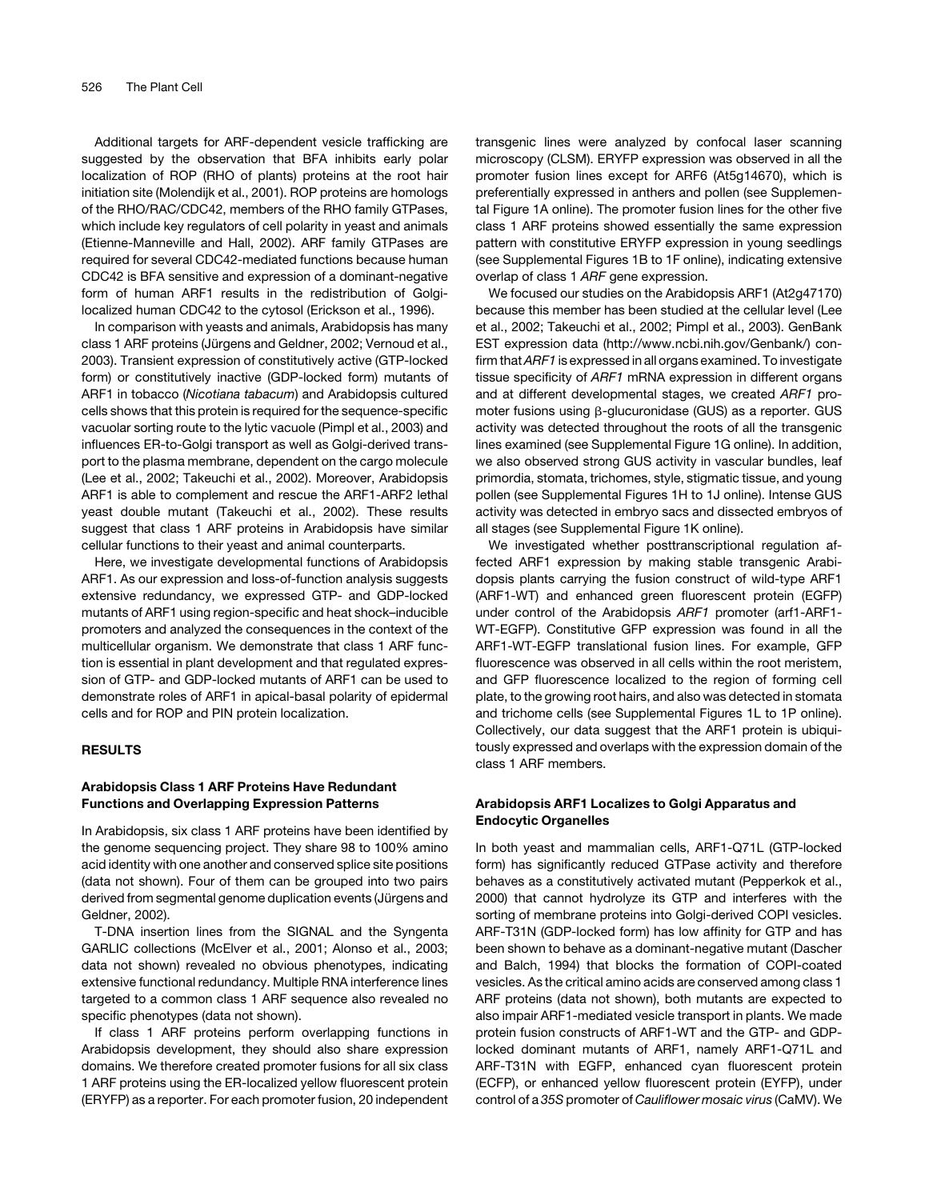Additional targets for ARF-dependent vesicle trafficking are suggested by the observation that BFA inhibits early polar localization of ROP (RHO of plants) proteins at the root hair initiation site (Molendijk et al., 2001). ROP proteins are homologs of the RHO/RAC/CDC42, members of the RHO family GTPases, which include key regulators of cell polarity in yeast and animals (Etienne-Manneville and Hall, 2002). ARF family GTPases are required for several CDC42-mediated functions because human CDC42 is BFA sensitive and expression of a dominant-negative form of human ARF1 results in the redistribution of Golgilocalized human CDC42 to the cytosol (Erickson et al., 1996).

In comparison with yeasts and animals, Arabidopsis has many class 1 ARF proteins (Jürgens and Geldner, 2002; Vernoud et al., 2003). Transient expression of constitutively active (GTP-locked form) or constitutively inactive (GDP-locked form) mutants of ARF1 in tobacco (*Nicotiana tabacum*) and Arabidopsis cultured cells shows that this protein is required for the sequence-specific vacuolar sorting route to the lytic vacuole (Pimpl et al., 2003) and influences ER-to-Golgi transport as well as Golgi-derived transport to the plasma membrane, dependent on the cargo molecule (Lee et al., 2002; Takeuchi et al., 2002). Moreover, Arabidopsis ARF1 is able to complement and rescue the ARF1-ARF2 lethal yeast double mutant (Takeuchi et al., 2002). These results suggest that class 1 ARF proteins in Arabidopsis have similar cellular functions to their yeast and animal counterparts.

Here, we investigate developmental functions of Arabidopsis ARF1. As our expression and loss-of-function analysis suggests extensive redundancy, we expressed GTP- and GDP-locked mutants of ARF1 using region-specific and heat shock–inducible promoters and analyzed the consequences in the context of the multicellular organism. We demonstrate that class 1 ARF function is essential in plant development and that regulated expression of GTP- and GDP-locked mutants of ARF1 can be used to demonstrate roles of ARF1 in apical-basal polarity of epidermal cells and for ROP and PIN protein localization.

#### RESULTS

# Arabidopsis Class 1 ARF Proteins Have Redundant Functions and Overlapping Expression Patterns

In Arabidopsis, six class 1 ARF proteins have been identified by the genome sequencing project. They share 98 to 100% amino acid identity with one another and conserved splice site positions (data not shown). Four of them can be grouped into two pairs derived from segmental genome duplication events (Jürgens and Geldner, 2002).

T-DNA insertion lines from the SIGNAL and the Syngenta GARLIC collections (McElver et al., 2001; Alonso et al., 2003; data not shown) revealed no obvious phenotypes, indicating extensive functional redundancy. Multiple RNA interference lines targeted to a common class 1 ARF sequence also revealed no specific phenotypes (data not shown).

If class 1 ARF proteins perform overlapping functions in Arabidopsis development, they should also share expression domains. We therefore created promoter fusions for all six class 1 ARF proteins using the ER-localized yellow fluorescent protein (ERYFP) as a reporter. For each promoter fusion, 20 independent transgenic lines were analyzed by confocal laser scanning microscopy (CLSM). ERYFP expression was observed in all the promoter fusion lines except for ARF6 (At5g14670), which is preferentially expressed in anthers and pollen (see Supplemental Figure 1A online). The promoter fusion lines for the other five class 1 ARF proteins showed essentially the same expression pattern with constitutive ERYFP expression in young seedlings (see Supplemental Figures 1B to 1F online), indicating extensive overlap of class 1 *ARF* gene expression.

We focused our studies on the Arabidopsis ARF1 (At2g47170) because this member has been studied at the cellular level (Lee et al., 2002; Takeuchi et al., 2002; Pimpl et al., 2003). GenBank EST expression data (http://www.ncbi.nih.gov/Genbank/) confirm that*ARF1* is expressed in all organs examined. To investigate tissue specificity of *ARF1* mRNA expression in different organs and at different developmental stages, we created *ARF1* promoter fusions using β-glucuronidase (GUS) as a reporter. GUS activity was detected throughout the roots of all the transgenic lines examined (see Supplemental Figure 1G online). In addition, we also observed strong GUS activity in vascular bundles, leaf primordia, stomata, trichomes, style, stigmatic tissue, and young pollen (see Supplemental Figures 1H to 1J online). Intense GUS activity was detected in embryo sacs and dissected embryos of all stages (see Supplemental Figure 1K online).

We investigated whether posttranscriptional regulation affected ARF1 expression by making stable transgenic Arabidopsis plants carrying the fusion construct of wild-type ARF1 (ARF1-WT) and enhanced green fluorescent protein (EGFP) under control of the Arabidopsis *ARF1* promoter (arf1-ARF1- WT-EGFP). Constitutive GFP expression was found in all the ARF1-WT-EGFP translational fusion lines. For example, GFP fluorescence was observed in all cells within the root meristem, and GFP fluorescence localized to the region of forming cell plate, to the growing root hairs, and also was detected in stomata and trichome cells (see Supplemental Figures 1L to 1P online). Collectively, our data suggest that the ARF1 protein is ubiquitously expressed and overlaps with the expression domain of the class 1 ARF members.

# Arabidopsis ARF1 Localizes to Golgi Apparatus and Endocytic Organelles

In both yeast and mammalian cells, ARF1-Q71L (GTP-locked form) has significantly reduced GTPase activity and therefore behaves as a constitutively activated mutant (Pepperkok et al., 2000) that cannot hydrolyze its GTP and interferes with the sorting of membrane proteins into Golgi-derived COPI vesicles. ARF-T31N (GDP-locked form) has low affinity for GTP and has been shown to behave as a dominant-negative mutant (Dascher and Balch, 1994) that blocks the formation of COPI-coated vesicles. As the critical amino acids are conserved among class 1 ARF proteins (data not shown), both mutants are expected to also impair ARF1-mediated vesicle transport in plants. We made protein fusion constructs of ARF1-WT and the GTP- and GDPlocked dominant mutants of ARF1, namely ARF1-Q71L and ARF-T31N with EGFP, enhanced cyan fluorescent protein (ECFP), or enhanced yellow fluorescent protein (EYFP), under control of a *35S* promoter of *Cauliflower mosaic virus* (CaMV). We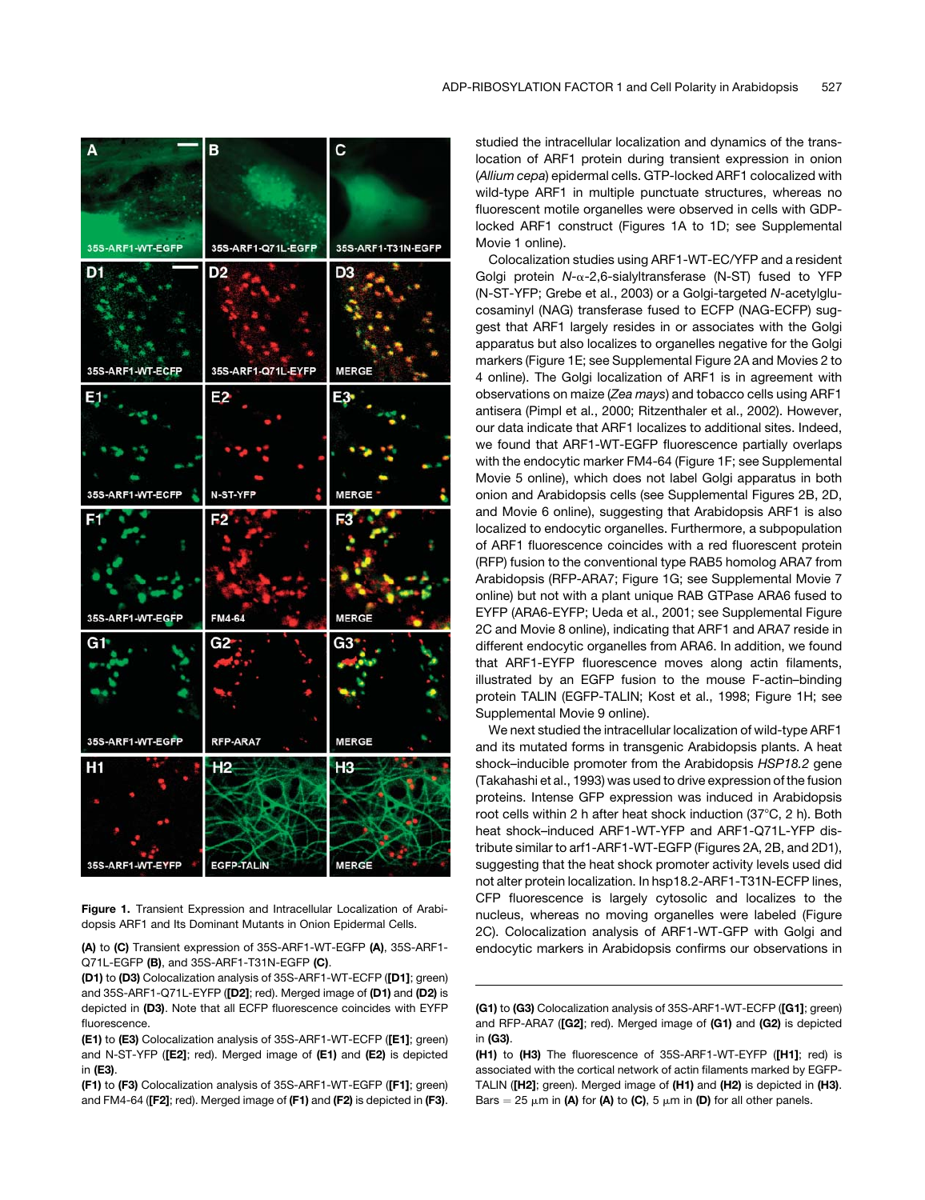

Figure 1. Transient Expression and Intracellular Localization of Arabidopsis ARF1 and Its Dominant Mutants in Onion Epidermal Cells.

(A) to (C) Transient expression of 35S-ARF1-WT-EGFP (A), 35S-ARF1- Q71L-EGFP (B), and 35S-ARF1-T31N-EGFP (C).

(D1) to (D3) Colocalization analysis of 35S-ARF1-WT-ECFP ([D1]; green) and 35S-ARF1-Q71L-EYFP ([D2]; red). Merged image of (D1) and (D2) is depicted in (D3). Note that all ECFP fluorescence coincides with EYFP fluorescence.

(E1) to (E3) Colocalization analysis of 35S-ARF1-WT-ECFP ([E1]; green) and N-ST-YFP ([E2]; red). Merged image of (E1) and (E2) is depicted in (E3).

(F1) to (F3) Colocalization analysis of 35S-ARF1-WT-EGFP ([F1]; green) and FM4-64 ([F2]; red). Merged image of (F1) and (F2) is depicted in (F3). studied the intracellular localization and dynamics of the translocation of ARF1 protein during transient expression in onion (*Allium cepa*) epidermal cells. GTP-locked ARF1 colocalized with wild-type ARF1 in multiple punctuate structures, whereas no fluorescent motile organelles were observed in cells with GDPlocked ARF1 construct (Figures 1A to 1D; see Supplemental Movie 1 online).

Colocalization studies using ARF1-WT-EC/YFP and a resident Golgi protein *N*-a-2,6-sialyltransferase (N-ST) fused to YFP (N-ST-YFP; Grebe et al., 2003) or a Golgi-targeted *N*-acetylglucosaminyl (NAG) transferase fused to ECFP (NAG-ECFP) suggest that ARF1 largely resides in or associates with the Golgi apparatus but also localizes to organelles negative for the Golgi markers (Figure 1E; see Supplemental Figure 2A and Movies 2 to 4 online). The Golgi localization of ARF1 is in agreement with observations on maize (*Zea mays*) and tobacco cells using ARF1 antisera (Pimpl et al., 2000; Ritzenthaler et al., 2002). However, our data indicate that ARF1 localizes to additional sites. Indeed, we found that ARF1-WT-EGFP fluorescence partially overlaps with the endocytic marker FM4-64 (Figure 1F; see Supplemental Movie 5 online), which does not label Golgi apparatus in both onion and Arabidopsis cells (see Supplemental Figures 2B, 2D, and Movie 6 online), suggesting that Arabidopsis ARF1 is also localized to endocytic organelles. Furthermore, a subpopulation of ARF1 fluorescence coincides with a red fluorescent protein (RFP) fusion to the conventional type RAB5 homolog ARA7 from Arabidopsis (RFP-ARA7; Figure 1G; see Supplemental Movie 7 online) but not with a plant unique RAB GTPase ARA6 fused to EYFP (ARA6-EYFP; Ueda et al., 2001; see Supplemental Figure 2C and Movie 8 online), indicating that ARF1 and ARA7 reside in different endocytic organelles from ARA6. In addition, we found that ARF1-EYFP fluorescence moves along actin filaments, illustrated by an EGFP fusion to the mouse F-actin–binding protein TALIN (EGFP-TALIN; Kost et al., 1998; Figure 1H; see Supplemental Movie 9 online).

We next studied the intracellular localization of wild-type ARF1 and its mutated forms in transgenic Arabidopsis plants. A heat shock–inducible promoter from the Arabidopsis *HSP18.2* gene (Takahashi et al., 1993) was used to drive expression of the fusion proteins. Intense GFP expression was induced in Arabidopsis root cells within 2 h after heat shock induction (37°C, 2 h). Both heat shock–induced ARF1-WT-YFP and ARF1-Q71L-YFP distribute similar to arf1-ARF1-WT-EGFP (Figures 2A, 2B, and 2D1), suggesting that the heat shock promoter activity levels used did not alter protein localization. In hsp18.2-ARF1-T31N-ECFP lines, CFP fluorescence is largely cytosolic and localizes to the nucleus, whereas no moving organelles were labeled (Figure 2C). Colocalization analysis of ARF1-WT-GFP with Golgi and endocytic markers in Arabidopsis confirms our observations in

<sup>(</sup>G1) to (G3) Colocalization analysis of 35S-ARF1-WT-ECFP ([G1]; green) and RFP-ARA7 ([G2]; red). Merged image of (G1) and (G2) is depicted in (G3).

<sup>(</sup>H1) to (H3) The fluorescence of 35S-ARF1-WT-EYFP ([H1]; red) is associated with the cortical network of actin filaments marked by EGFP-TALIN ([H2]; green). Merged image of (H1) and (H2) is depicted in (H3). Bars = 25  $\mu$ m in (A) for (A) to (C), 5  $\mu$ m in (D) for all other panels.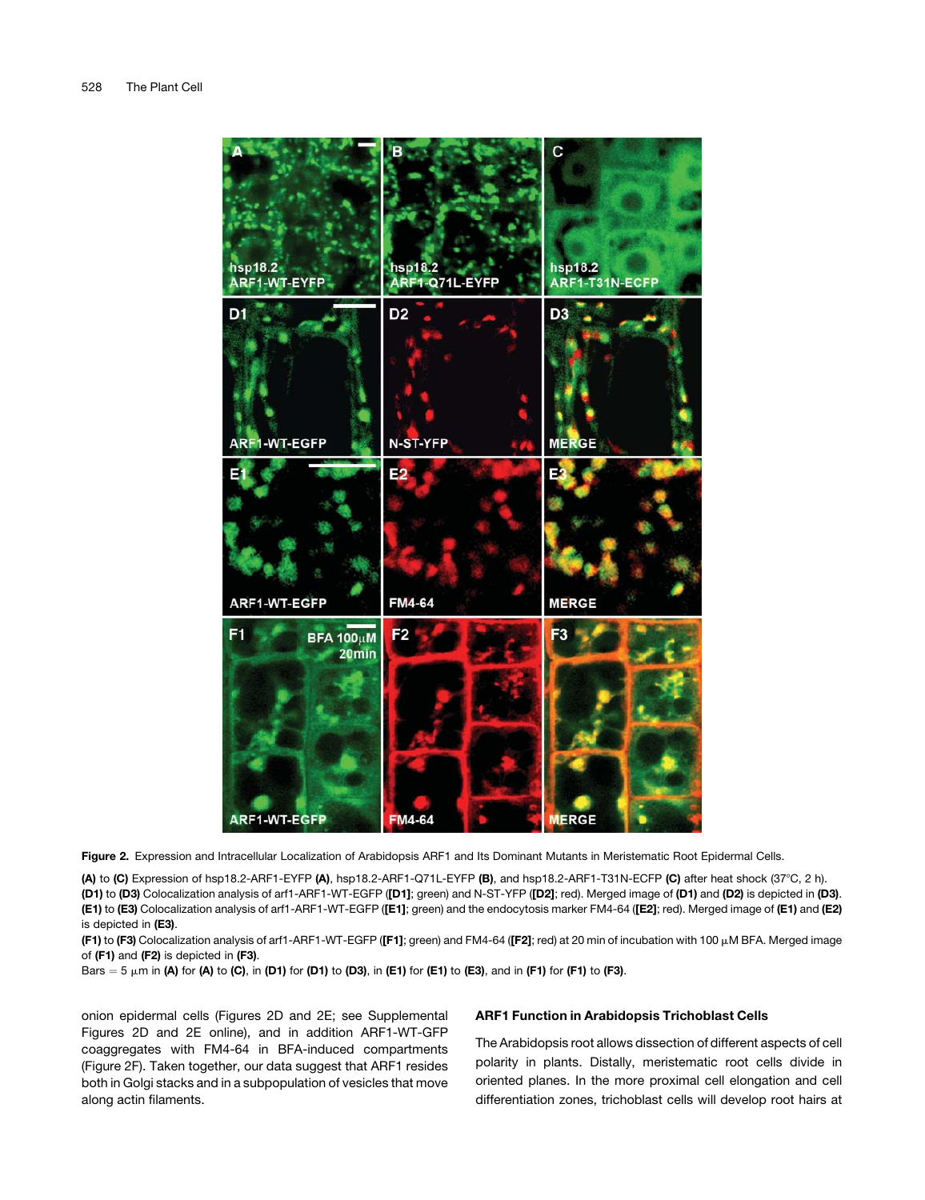

Figure 2. Expression and Intracellular Localization of Arabidopsis ARF1 and Its Dominant Mutants in Meristematic Root Epidermal Cells.

(A) to (C) Expression of hsp18.2-ARF1-EYFP (A), hsp18.2-ARF1-Q71L-EYFP (B), and hsp18.2-ARF1-T31N-ECFP (C) after heat shock (37°C, 2 h). (D1) to (D3) Colocalization analysis of arf1-ARF1-WT-EGFP ([D1]; green) and N-ST-YFP ([D2]; red). Merged image of (D1) and (D2) is depicted in (D3). (E1) to (E3) Colocalization analysis of arf1-ARF1-WT-EGFP ([E1]; green) and the endocytosis marker FM4-64 ([E2]; red). Merged image of (E1) and (E2) is depicted in (E3).

(F1) to (F3) Colocalization analysis of arf1-ARF1-WT-EGFP ([F1]; green) and FM4-64 ([F2]; red) at 20 min of incubation with 100 μM BFA. Merged image of (F1) and (F2) is depicted in (F3).

Bars  $=$  5  $\mu$ m in (A) for (A) to (C), in (D1) for (D1) to (D3), in (E1) for (E1) to (E3), and in (F1) for (F1) to (F3).

onion epidermal cells (Figures 2D and 2E; see Supplemental Figures 2D and 2E online), and in addition ARF1-WT-GFP coaggregates with FM4-64 in BFA-induced compartments (Figure 2F). Taken together, our data suggest that ARF1 resides both in Golgi stacks and in a subpopulation of vesicles that move along actin filaments.

# ARF1 Function in Arabidopsis Trichoblast Cells

The Arabidopsis root allows dissection of different aspects of cell polarity in plants. Distally, meristematic root cells divide in oriented planes. In the more proximal cell elongation and cell differentiation zones, trichoblast cells will develop root hairs at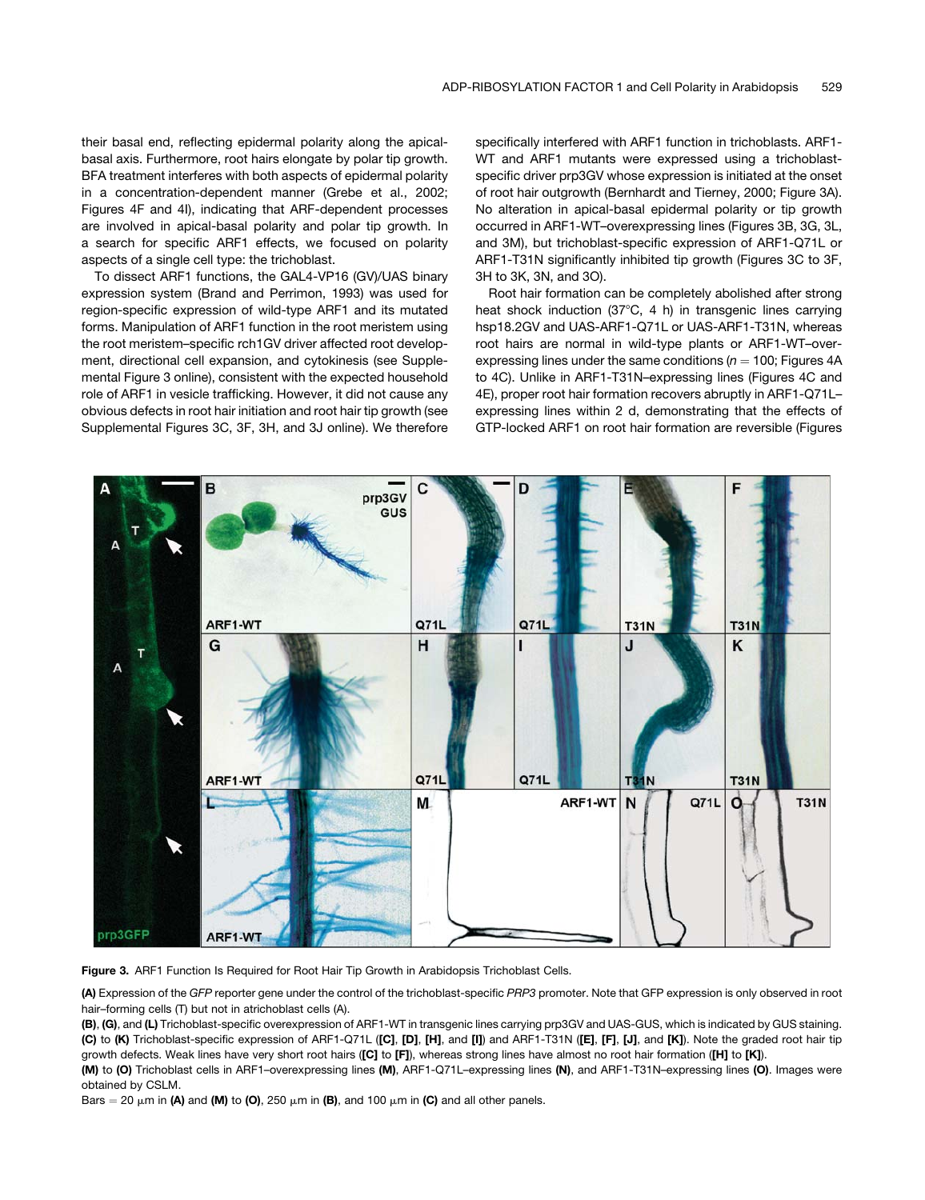their basal end, reflecting epidermal polarity along the apicalbasal axis. Furthermore, root hairs elongate by polar tip growth. BFA treatment interferes with both aspects of epidermal polarity in a concentration-dependent manner (Grebe et al., 2002; Figures 4F and 4I), indicating that ARF-dependent processes are involved in apical-basal polarity and polar tip growth. In a search for specific ARF1 effects, we focused on polarity aspects of a single cell type: the trichoblast.

To dissect ARF1 functions, the GAL4-VP16 (GV)/UAS binary expression system (Brand and Perrimon, 1993) was used for region-specific expression of wild-type ARF1 and its mutated forms. Manipulation of ARF1 function in the root meristem using the root meristem–specific rch1GV driver affected root development, directional cell expansion, and cytokinesis (see Supplemental Figure 3 online), consistent with the expected household role of ARF1 in vesicle trafficking. However, it did not cause any obvious defects in root hair initiation and root hair tip growth (see Supplemental Figures 3C, 3F, 3H, and 3J online). We therefore specifically interfered with ARF1 function in trichoblasts. ARF1- WT and ARF1 mutants were expressed using a trichoblastspecific driver prp3GV whose expression is initiated at the onset of root hair outgrowth (Bernhardt and Tierney, 2000; Figure 3A). No alteration in apical-basal epidermal polarity or tip growth occurred in ARF1-WT–overexpressing lines (Figures 3B, 3G, 3L, and 3M), but trichoblast-specific expression of ARF1-Q71L or ARF1-T31N significantly inhibited tip growth (Figures 3C to 3F, 3H to 3K, 3N, and 3O).

Root hair formation can be completely abolished after strong heat shock induction  $(37^{\circ}C, 4 h)$  in transgenic lines carrying hsp18.2GV and UAS-ARF1-Q71L or UAS-ARF1-T31N, whereas root hairs are normal in wild-type plants or ARF1-WT–overexpressing lines under the same conditions ( $n = 100$ ; Figures 4A to 4C). Unlike in ARF1-T31N–expressing lines (Figures 4C and 4E), proper root hair formation recovers abruptly in ARF1-Q71L– expressing lines within 2 d, demonstrating that the effects of GTP-locked ARF1 on root hair formation are reversible (Figures



Figure 3. ARF1 Function Is Required for Root Hair Tip Growth in Arabidopsis Trichoblast Cells.

(A) Expression of the *GFP* reporter gene under the control of the trichoblast-specific *PRP3* promoter. Note that GFP expression is only observed in root hair–forming cells (T) but not in atrichoblast cells (A).

(B), (G), and (L) Trichoblast-specific overexpression of ARF1-WT in transgenic lines carrying prp3GV and UAS-GUS, which is indicated by GUS staining. (C) to (K) Trichoblast-specific expression of ARF1-Q71L ([C], [D], [H], and [I]) and ARF1-T31N ([E], [F], [J], and [K]). Note the graded root hair tip growth defects. Weak lines have very short root hairs ([C] to [F]), whereas strong lines have almost no root hair formation ([H] to [K]).

(M) to (O) Trichoblast cells in ARF1–overexpressing lines (M), ARF1-Q71L–expressing lines (N), and ARF1-T31N–expressing lines (O). Images were obtained by CSLM.

Bars = 20  $\mu$ m in (A) and (M) to (O), 250  $\mu$ m in (B), and 100  $\mu$ m in (C) and all other panels.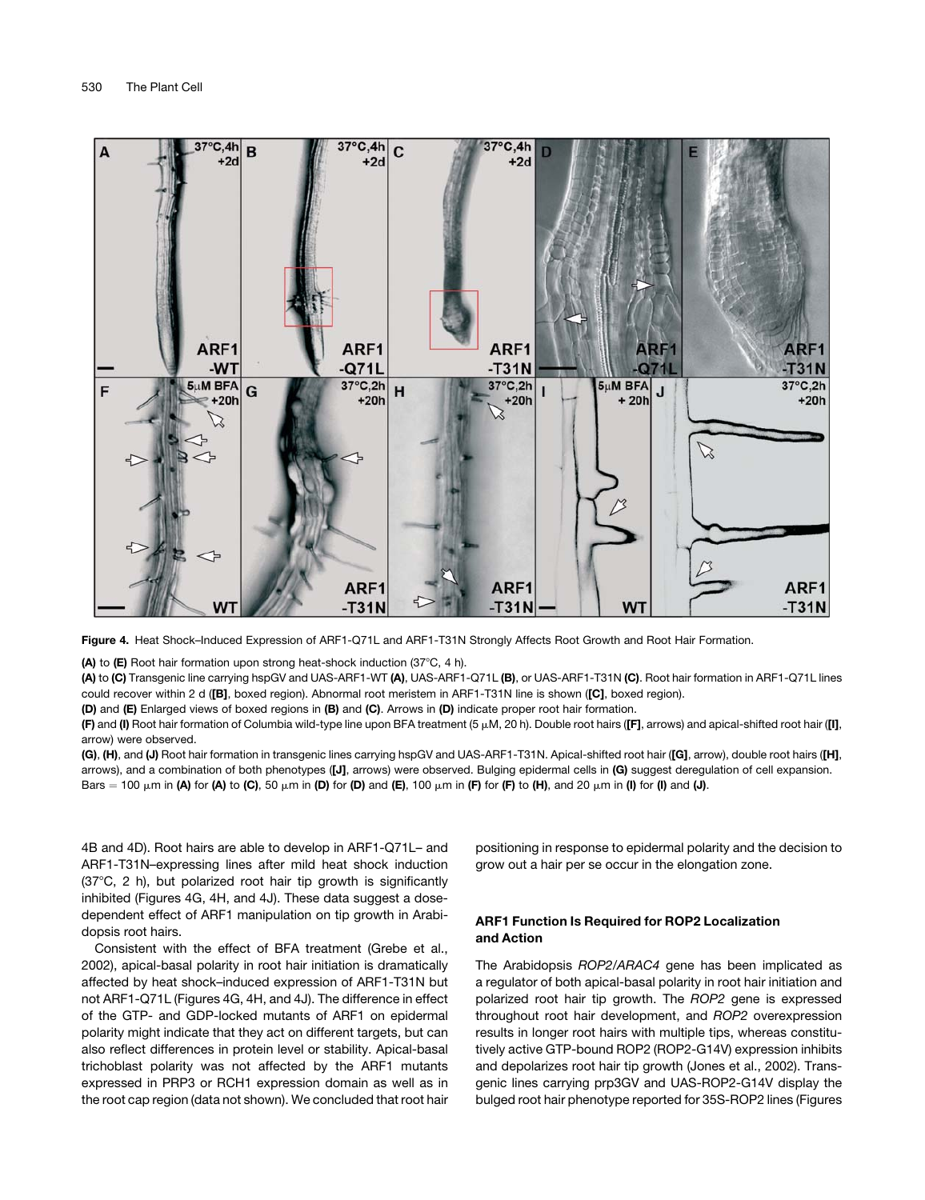

Figure 4. Heat Shock–Induced Expression of ARF1-Q71L and ARF1-T31N Strongly Affects Root Growth and Root Hair Formation.

(A) to (E) Root hair formation upon strong heat-shock induction (37 $\degree$ C, 4 h).

(A) to (C) Transgenic line carrying hspGV and UAS-ARF1-WT (A), UAS-ARF1-Q71L (B), or UAS-ARF1-T31N (C). Root hair formation in ARF1-Q71L lines could recover within 2 d ([B], boxed region). Abnormal root meristem in ARF1-T31N line is shown ([C], boxed region).

(D) and (E) Enlarged views of boxed regions in (B) and (C). Arrows in (D) indicate proper root hair formation.

(F) and (I) Root hair formation of Columbia wild-type line upon BFA treatment (5  $\mu$ M, 20 h). Double root hairs ([F], arrows) and apical-shifted root hair ([I], arrow) were observed.

(G), (H), and (J) Root hair formation in transgenic lines carrying hspGV and UAS-ARF1-T31N. Apical-shifted root hair ([G], arrow), double root hairs ([H], arrows), and a combination of both phenotypes ([J], arrows) were observed. Bulging epidermal cells in (G) suggest deregulation of cell expansion. Bars = 100  $\mu$ m in (A) for (A) to (C), 50  $\mu$ m in (D) for (D) and (E), 100  $\mu$ m in (F) for (F) to (H), and 20  $\mu$ m in (I) for (I) and (J).

4B and 4D). Root hairs are able to develop in ARF1-Q71L– and ARF1-T31N–expressing lines after mild heat shock induction  $(37^{\circ}C, 2 h)$ , but polarized root hair tip growth is significantly inhibited (Figures 4G, 4H, and 4J). These data suggest a dosedependent effect of ARF1 manipulation on tip growth in Arabidopsis root hairs.

Consistent with the effect of BFA treatment (Grebe et al., 2002), apical-basal polarity in root hair initiation is dramatically affected by heat shock–induced expression of ARF1-T31N but not ARF1-Q71L (Figures 4G, 4H, and 4J). The difference in effect of the GTP- and GDP-locked mutants of ARF1 on epidermal polarity might indicate that they act on different targets, but can also reflect differences in protein level or stability. Apical-basal trichoblast polarity was not affected by the ARF1 mutants expressed in PRP3 or RCH1 expression domain as well as in the root cap region (data not shown). We concluded that root hair positioning in response to epidermal polarity and the decision to grow out a hair per se occur in the elongation zone.

# ARF1 Function Is Required for ROP2 Localization and Action

The Arabidopsis *ROP2*/*ARAC4* gene has been implicated as a regulator of both apical-basal polarity in root hair initiation and polarized root hair tip growth. The *ROP2* gene is expressed throughout root hair development, and *ROP2* overexpression results in longer root hairs with multiple tips, whereas constitutively active GTP-bound ROP2 (ROP2-G14V) expression inhibits and depolarizes root hair tip growth (Jones et al., 2002). Transgenic lines carrying prp3GV and UAS-ROP2-G14V display the bulged root hair phenotype reported for 35S-ROP2 lines (Figures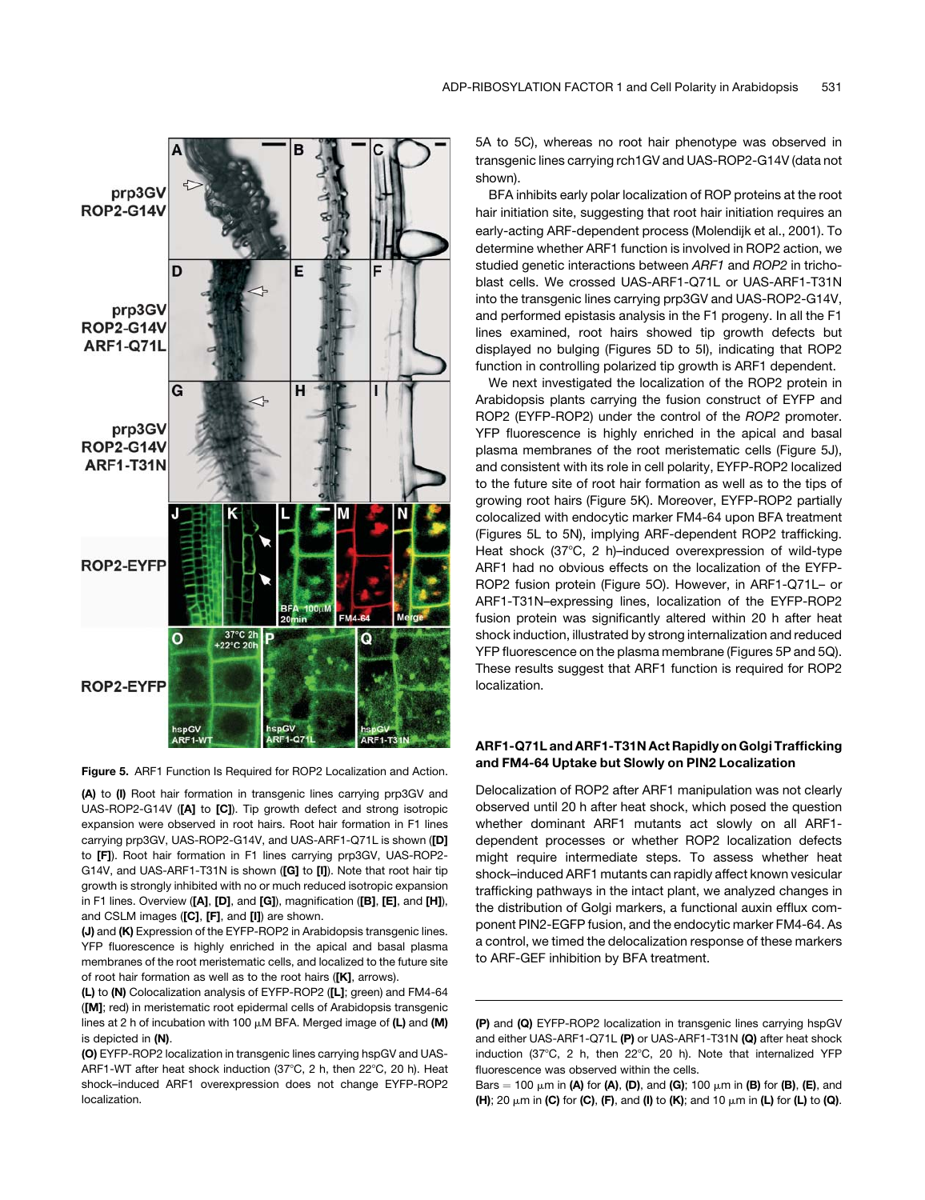

Figure 5. ARF1 Function Is Required for ROP2 Localization and Action.

(A) to (I) Root hair formation in transgenic lines carrying prp3GV and UAS-ROP2-G14V ([A] to [C]). Tip growth defect and strong isotropic expansion were observed in root hairs. Root hair formation in F1 lines carrying prp3GV, UAS-ROP2-G14V, and UAS-ARF1-Q71L is shown ([D] to [F]). Root hair formation in F1 lines carrying prp3GV, UAS-ROP2- G14V, and UAS-ARF1-T31N is shown ([G] to [I]). Note that root hair tip growth is strongly inhibited with no or much reduced isotropic expansion in F1 lines. Overview ([A], [D], and [G]), magnification ([B], [E], and [H]), and CSLM images ([C], [F], and [I]) are shown.

(J) and (K) Expression of the EYFP-ROP2 in Arabidopsis transgenic lines. YFP fluorescence is highly enriched in the apical and basal plasma membranes of the root meristematic cells, and localized to the future site of root hair formation as well as to the root hairs ([K], arrows).

(L) to (N) Colocalization analysis of EYFP-ROP2 ([L]; green) and FM4-64 ([M]; red) in meristematic root epidermal cells of Arabidopsis transgenic lines at 2 h of incubation with 100  $\mu$ M BFA. Merged image of (L) and (M) is depicted in (N).

(O) EYFP-ROP2 localization in transgenic lines carrying hspGV and UAS-ARF1-WT after heat shock induction (37 $^{\circ}$ C, 2 h, then 22 $^{\circ}$ C, 20 h). Heat shock–induced ARF1 overexpression does not change EYFP-ROP2 localization.

5A to 5C), whereas no root hair phenotype was observed in transgenic lines carrying rch1GV and UAS-ROP2-G14V (data not shown).

BFA inhibits early polar localization of ROP proteins at the root hair initiation site, suggesting that root hair initiation requires an early-acting ARF-dependent process (Molendijk et al., 2001). To determine whether ARF1 function is involved in ROP2 action, we studied genetic interactions between *ARF1* and *ROP2* in trichoblast cells. We crossed UAS-ARF1-Q71L or UAS-ARF1-T31N into the transgenic lines carrying prp3GV and UAS-ROP2-G14V, and performed epistasis analysis in the F1 progeny. In all the F1 lines examined, root hairs showed tip growth defects but displayed no bulging (Figures 5D to 5I), indicating that ROP2 function in controlling polarized tip growth is ARF1 dependent.

We next investigated the localization of the ROP2 protein in Arabidopsis plants carrying the fusion construct of EYFP and ROP2 (EYFP-ROP2) under the control of the *ROP2* promoter. YFP fluorescence is highly enriched in the apical and basal plasma membranes of the root meristematic cells (Figure 5J), and consistent with its role in cell polarity, EYFP-ROP2 localized to the future site of root hair formation as well as to the tips of growing root hairs (Figure 5K). Moreover, EYFP-ROP2 partially colocalized with endocytic marker FM4-64 upon BFA treatment (Figures 5L to 5N), implying ARF-dependent ROP2 trafficking. Heat shock (37°C, 2 h)-induced overexpression of wild-type ARF1 had no obvious effects on the localization of the EYFP-ROP2 fusion protein (Figure 5O). However, in ARF1-Q71L– or ARF1-T31N–expressing lines, localization of the EYFP-ROP2 fusion protein was significantly altered within 20 h after heat shock induction, illustrated by strong internalization and reduced YFP fluorescence on the plasma membrane (Figures 5P and 5Q). These results suggest that ARF1 function is required for ROP2 localization.

# ARF1-Q71L and ARF1-T31N Act Rapidly on Golgi Trafficking and FM4-64 Uptake but Slowly on PIN2 Localization

Delocalization of ROP2 after ARF1 manipulation was not clearly observed until 20 h after heat shock, which posed the question whether dominant ARF1 mutants act slowly on all ARF1 dependent processes or whether ROP2 localization defects might require intermediate steps. To assess whether heat shock–induced ARF1 mutants can rapidly affect known vesicular trafficking pathways in the intact plant, we analyzed changes in the distribution of Golgi markers, a functional auxin efflux component PIN2-EGFP fusion, and the endocytic marker FM4-64. As a control, we timed the delocalization response of these markers to ARF-GEF inhibition by BFA treatment.

<sup>(</sup>P) and (Q) EYFP-ROP2 localization in transgenic lines carrying hspGV and either UAS-ARF1-Q71L (P) or UAS-ARF1-T31N (Q) after heat shock induction (37 $^{\circ}$ C, 2 h, then 22 $^{\circ}$ C, 20 h). Note that internalized YFP fluorescence was observed within the cells.

Bars = 100  $\mu$ m in (A) for (A), (D), and (G); 100  $\mu$ m in (B) for (B), (E), and (H); 20  $\mu$ m in (C) for (C), (F), and (I) to (K); and 10  $\mu$ m in (L) for (L) to (Q).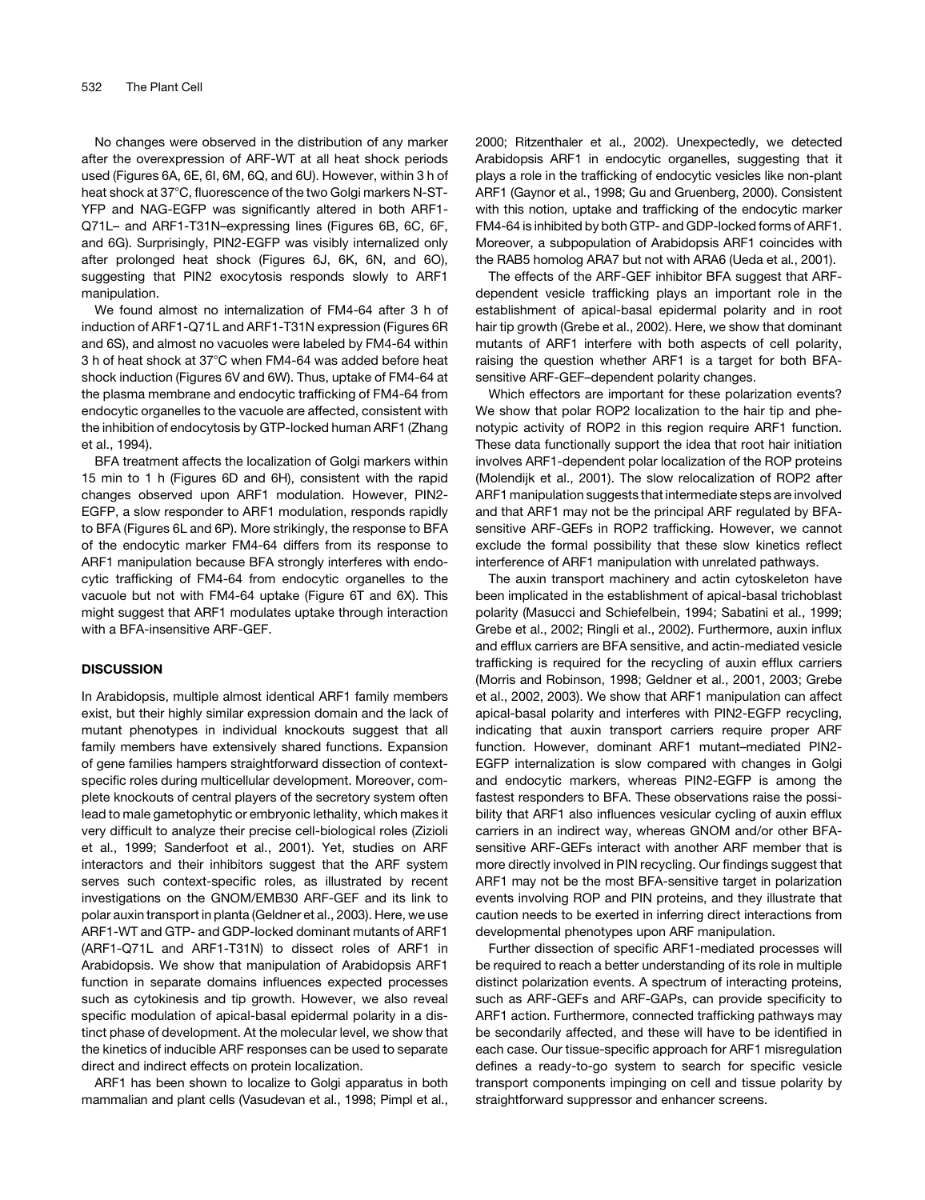No changes were observed in the distribution of any marker after the overexpression of ARF-WT at all heat shock periods used (Figures 6A, 6E, 6I, 6M, 6Q, and 6U). However, within 3 h of heat shock at 37°C, fluorescence of the two Golgi markers N-ST-YFP and NAG-EGFP was significantly altered in both ARF1- Q71L– and ARF1-T31N–expressing lines (Figures 6B, 6C, 6F, and 6G). Surprisingly, PIN2-EGFP was visibly internalized only after prolonged heat shock (Figures 6J, 6K, 6N, and 6O), suggesting that PIN2 exocytosis responds slowly to ARF1 manipulation.

We found almost no internalization of FM4-64 after 3 h of induction of ARF1-Q71L and ARF1-T31N expression (Figures 6R and 6S), and almost no vacuoles were labeled by FM4-64 within 3 h of heat shock at 37°C when FM4-64 was added before heat shock induction (Figures 6V and 6W). Thus, uptake of FM4-64 at the plasma membrane and endocytic trafficking of FM4-64 from endocytic organelles to the vacuole are affected, consistent with the inhibition of endocytosis by GTP-locked human ARF1 (Zhang et al., 1994).

BFA treatment affects the localization of Golgi markers within 15 min to 1 h (Figures 6D and 6H), consistent with the rapid changes observed upon ARF1 modulation. However, PIN2- EGFP, a slow responder to ARF1 modulation, responds rapidly to BFA (Figures 6L and 6P). More strikingly, the response to BFA of the endocytic marker FM4-64 differs from its response to ARF1 manipulation because BFA strongly interferes with endocytic trafficking of FM4-64 from endocytic organelles to the vacuole but not with FM4-64 uptake (Figure 6T and 6X). This might suggest that ARF1 modulates uptake through interaction with a BFA-insensitive ARF-GEF.

## **DISCUSSION**

In Arabidopsis, multiple almost identical ARF1 family members exist, but their highly similar expression domain and the lack of mutant phenotypes in individual knockouts suggest that all family members have extensively shared functions. Expansion of gene families hampers straightforward dissection of contextspecific roles during multicellular development. Moreover, complete knockouts of central players of the secretory system often lead to male gametophytic or embryonic lethality, which makes it very difficult to analyze their precise cell-biological roles (Zizioli et al., 1999; Sanderfoot et al., 2001). Yet, studies on ARF interactors and their inhibitors suggest that the ARF system serves such context-specific roles, as illustrated by recent investigations on the GNOM/EMB30 ARF-GEF and its link to polar auxin transport in planta (Geldner et al., 2003). Here, we use ARF1-WT and GTP- and GDP-locked dominant mutants of ARF1 (ARF1-Q71L and ARF1-T31N) to dissect roles of ARF1 in Arabidopsis. We show that manipulation of Arabidopsis ARF1 function in separate domains influences expected processes such as cytokinesis and tip growth. However, we also reveal specific modulation of apical-basal epidermal polarity in a distinct phase of development. At the molecular level, we show that the kinetics of inducible ARF responses can be used to separate direct and indirect effects on protein localization.

ARF1 has been shown to localize to Golgi apparatus in both mammalian and plant cells (Vasudevan et al., 1998; Pimpl et al., 2000; Ritzenthaler et al., 2002). Unexpectedly, we detected Arabidopsis ARF1 in endocytic organelles, suggesting that it plays a role in the trafficking of endocytic vesicles like non-plant ARF1 (Gaynor et al., 1998; Gu and Gruenberg, 2000). Consistent with this notion, uptake and trafficking of the endocytic marker FM4-64 is inhibited by both GTP- and GDP-locked forms of ARF1. Moreover, a subpopulation of Arabidopsis ARF1 coincides with the RAB5 homolog ARA7 but not with ARA6 (Ueda et al., 2001).

The effects of the ARF-GEF inhibitor BFA suggest that ARFdependent vesicle trafficking plays an important role in the establishment of apical-basal epidermal polarity and in root hair tip growth (Grebe et al., 2002). Here, we show that dominant mutants of ARF1 interfere with both aspects of cell polarity, raising the question whether ARF1 is a target for both BFAsensitive ARF-GEF–dependent polarity changes.

Which effectors are important for these polarization events? We show that polar ROP2 localization to the hair tip and phenotypic activity of ROP2 in this region require ARF1 function. These data functionally support the idea that root hair initiation involves ARF1-dependent polar localization of the ROP proteins (Molendijk et al., 2001). The slow relocalization of ROP2 after ARF1 manipulation suggests that intermediate steps are involved and that ARF1 may not be the principal ARF regulated by BFAsensitive ARF-GEFs in ROP2 trafficking. However, we cannot exclude the formal possibility that these slow kinetics reflect interference of ARF1 manipulation with unrelated pathways.

The auxin transport machinery and actin cytoskeleton have been implicated in the establishment of apical-basal trichoblast polarity (Masucci and Schiefelbein, 1994; Sabatini et al., 1999; Grebe et al., 2002; Ringli et al., 2002). Furthermore, auxin influx and efflux carriers are BFA sensitive, and actin-mediated vesicle trafficking is required for the recycling of auxin efflux carriers (Morris and Robinson, 1998; Geldner et al., 2001, 2003; Grebe et al., 2002, 2003). We show that ARF1 manipulation can affect apical-basal polarity and interferes with PIN2-EGFP recycling, indicating that auxin transport carriers require proper ARF function. However, dominant ARF1 mutant–mediated PIN2- EGFP internalization is slow compared with changes in Golgi and endocytic markers, whereas PIN2-EGFP is among the fastest responders to BFA. These observations raise the possibility that ARF1 also influences vesicular cycling of auxin efflux carriers in an indirect way, whereas GNOM and/or other BFAsensitive ARF-GEFs interact with another ARF member that is more directly involved in PIN recycling. Our findings suggest that ARF1 may not be the most BFA-sensitive target in polarization events involving ROP and PIN proteins, and they illustrate that caution needs to be exerted in inferring direct interactions from developmental phenotypes upon ARF manipulation.

Further dissection of specific ARF1-mediated processes will be required to reach a better understanding of its role in multiple distinct polarization events. A spectrum of interacting proteins, such as ARF-GEFs and ARF-GAPs, can provide specificity to ARF1 action. Furthermore, connected trafficking pathways may be secondarily affected, and these will have to be identified in each case. Our tissue-specific approach for ARF1 misregulation defines a ready-to-go system to search for specific vesicle transport components impinging on cell and tissue polarity by straightforward suppressor and enhancer screens.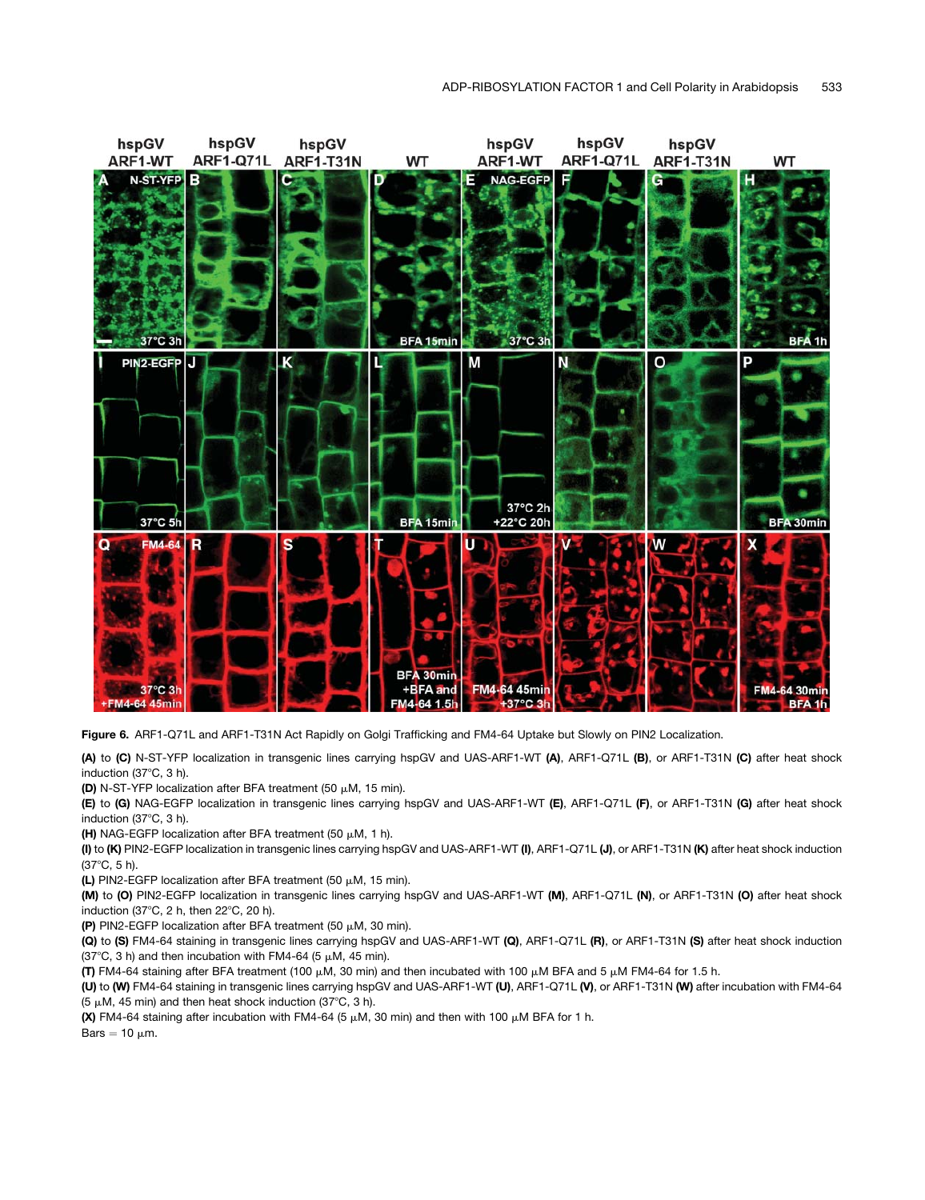

Figure 6. ARF1-Q71L and ARF1-T31N Act Rapidly on Golgi Trafficking and FM4-64 Uptake but Slowly on PIN2 Localization.

(A) to (C) N-ST-YFP localization in transgenic lines carrying hspGV and UAS-ARF1-WT (A), ARF1-Q71L (B), or ARF1-T31N (C) after heat shock induction (37°C, 3 h).

(D) N-ST-YFP localization after BFA treatment (50  $\mu$ M, 15 min).

(E) to (G) NAG-EGFP localization in transgenic lines carrying hspGV and UAS-ARF1-WT (E), ARF1-Q71L (F), or ARF1-T31N (G) after heat shock induction  $(37^{\circ}C, 3 h)$ .

(H) NAG-EGFP localization after BFA treatment (50  $\mu$ M, 1 h).

(I) to (K) PIN2-EGFP localization in transgenic lines carrying hspGV and UAS-ARF1-WT (I), ARF1-Q71L (J), or ARF1-T31N (K) after heat shock induction  $(37^{\circ}C, 5 h)$ .

(L) PIN2-EGFP localization after BFA treatment (50  $\mu$ M, 15 min).

(M) to (O) PIN2-EGFP localization in transgenic lines carrying hspGV and UAS-ARF1-WT (M), ARF1-Q71L (N), or ARF1-T31N (O) after heat shock induction (37 $\degree$ C, 2 h, then 22 $\degree$ C, 20 h).

(P) PIN2-EGFP localization after BFA treatment (50  $\mu$ M, 30 min).

(Q) to (S) FM4-64 staining in transgenic lines carrying hspGV and UAS-ARF1-WT (Q), ARF1-Q71L (R), or ARF1-T31N (S) after heat shock induction (37°C, 3 h) and then incubation with FM4-64 (5  $\mu$ M, 45 min).

(T) FM4-64 staining after BFA treatment (100  $\mu$ M, 30 min) and then incubated with 100  $\mu$ M BFA and 5  $\mu$ M FM4-64 for 1.5 h.

(U) to (W) FM4-64 staining in transgenic lines carrying hspGV and UAS-ARF1-WT (U), ARF1-Q71L (V), or ARF1-T31N (W) after incubation with FM4-64 (5  $\mu$ M, 45 min) and then heat shock induction (37°C, 3 h).

(X) FM4-64 staining after incubation with FM4-64 (5  $\mu$ M, 30 min) and then with 100  $\mu$ M BFA for 1 h.

Bars  $= 10 \mu m$ .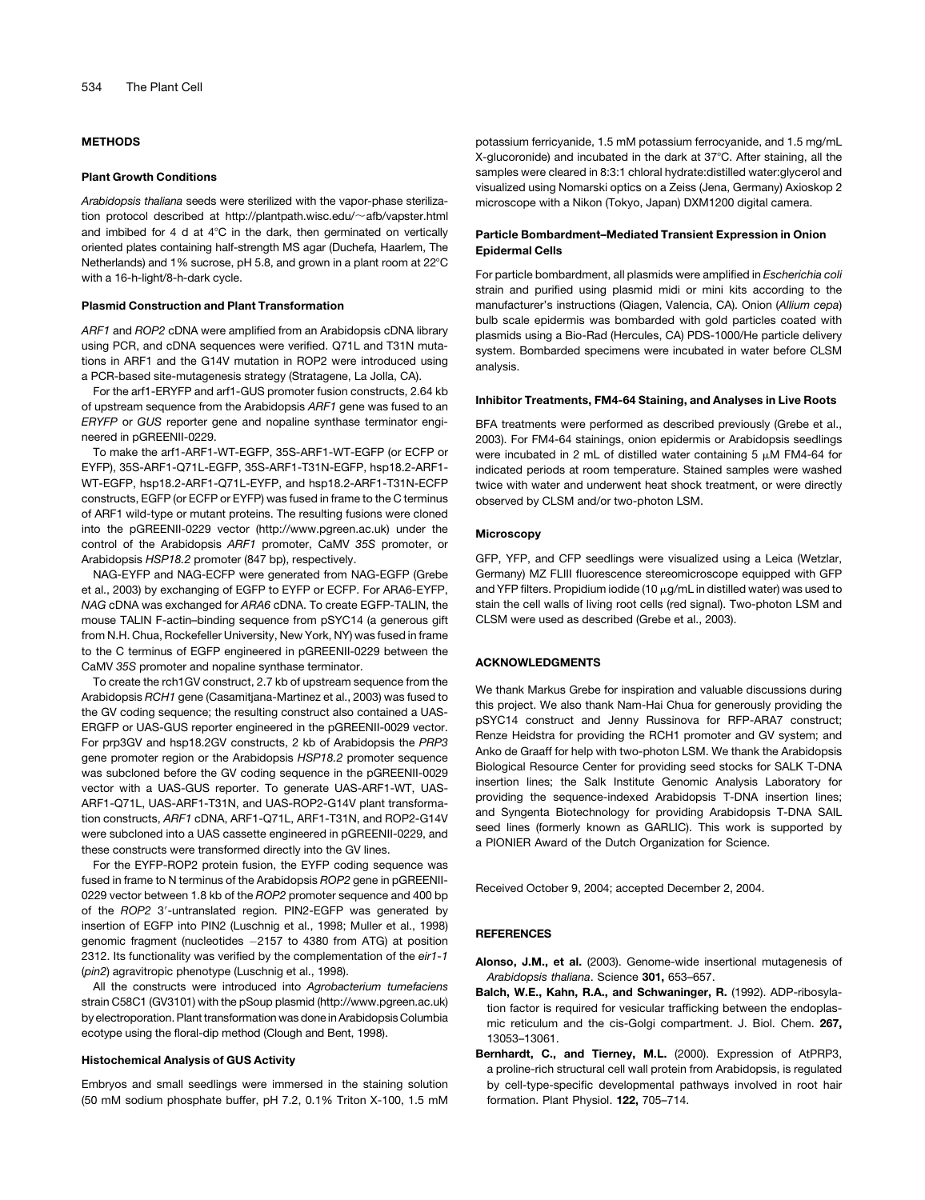## METHODS

#### Plant Growth Conditions

*Arabidopsis thaliana* seeds were sterilized with the vapor-phase sterilization protocol described at http://plantpath.wisc.edu/~afb/vapster.html and imbibed for 4 d at  $4^{\circ}$ C in the dark, then germinated on vertically oriented plates containing half-strength MS agar (Duchefa, Haarlem, The Netherlands) and 1% sucrose, pH 5.8, and grown in a plant room at 22°C with a 16-h-light/8-h-dark cycle.

#### Plasmid Construction and Plant Transformation

*ARF1* and *ROP2* cDNA were amplified from an Arabidopsis cDNA library using PCR, and cDNA sequences were verified. Q71L and T31N mutations in ARF1 and the G14V mutation in ROP2 were introduced using a PCR-based site-mutagenesis strategy (Stratagene, La Jolla, CA).

For the arf1-ERYFP and arf1-GUS promoter fusion constructs, 2.64 kb of upstream sequence from the Arabidopsis *ARF1* gene was fused to an *ERYFP* or *GUS* reporter gene and nopaline synthase terminator engineered in pGREENII-0229.

To make the arf1-ARF1-WT-EGFP, 35S-ARF1-WT-EGFP (or ECFP or EYFP), 35S-ARF1-Q71L-EGFP, 35S-ARF1-T31N-EGFP, hsp18.2-ARF1- WT-EGFP, hsp18.2-ARF1-Q71L-EYFP, and hsp18.2-ARF1-T31N-ECFP constructs, EGFP (or ECFP or EYFP) was fused in frame to the C terminus of ARF1 wild-type or mutant proteins. The resulting fusions were cloned into the pGREENII-0229 vector (http://www.pgreen.ac.uk) under the control of the Arabidopsis *ARF1* promoter, CaMV *35S* promoter, or Arabidopsis *HSP18.2* promoter (847 bp), respectively.

NAG-EYFP and NAG-ECFP were generated from NAG-EGFP (Grebe et al., 2003) by exchanging of EGFP to EYFP or ECFP. For ARA6-EYFP, *NAG* cDNA was exchanged for *ARA6* cDNA. To create EGFP-TALIN, the mouse TALIN F-actin–binding sequence from pSYC14 (a generous gift from N.H. Chua, Rockefeller University, New York, NY) was fused in frame to the C terminus of EGFP engineered in pGREENII-0229 between the CaMV *35S* promoter and nopaline synthase terminator.

To create the rch1GV construct, 2.7 kb of upstream sequence from the Arabidopsis *RCH1* gene (Casamitjana-Martinez et al., 2003) was fused to the GV coding sequence; the resulting construct also contained a UAS-ERGFP or UAS-GUS reporter engineered in the pGREENII-0029 vector. For prp3GV and hsp18.2GV constructs, 2 kb of Arabidopsis the *PRP3* gene promoter region or the Arabidopsis *HSP18.2* promoter sequence was subcloned before the GV coding sequence in the pGREENII-0029 vector with a UAS-GUS reporter. To generate UAS-ARF1-WT, UAS-ARF1-Q71L, UAS-ARF1-T31N, and UAS-ROP2-G14V plant transformation constructs, *ARF1* cDNA, ARF1-Q71L, ARF1-T31N, and ROP2-G14V were subcloned into a UAS cassette engineered in pGREENII-0229, and these constructs were transformed directly into the GV lines.

For the EYFP-ROP2 protein fusion, the EYFP coding sequence was fused in frame to N terminus of the Arabidopsis *ROP2* gene in pGREENII-0229 vector between 1.8 kb of the *ROP2* promoter sequence and 400 bp of the *ROP2* 3'-untranslated region. PIN2-EGFP was generated by insertion of EGFP into PIN2 (Luschnig et al., 1998; Muller et al., 1998) genomic fragment (nucleotides 2157 to 4380 from ATG) at position 2312. Its functionality was verified by the complementation of the *eir1-1* (*pin2*) agravitropic phenotype (Luschnig et al., 1998).

All the constructs were introduced into *Agrobacterium tumefaciens* strain C58C1 (GV3101) with the pSoup plasmid (http://www.pgreen.ac.uk) by electroporation. Plant transformation was done in Arabidopsis Columbia ecotype using the floral-dip method (Clough and Bent, 1998).

## Histochemical Analysis of GUS Activity

Embryos and small seedlings were immersed in the staining solution (50 mM sodium phosphate buffer, pH 7.2, 0.1% Triton X-100, 1.5 mM potassium ferricyanide, 1.5 mM potassium ferrocyanide, and 1.5 mg/mL X-glucoronide) and incubated in the dark at  $37^{\circ}$ C. After staining, all the samples were cleared in 8:3:1 chloral hydrate:distilled water:glycerol and visualized using Nomarski optics on a Zeiss (Jena, Germany) Axioskop 2 microscope with a Nikon (Tokyo, Japan) DXM1200 digital camera.

#### Particle Bombardment–Mediated Transient Expression in Onion Epidermal Cells

For particle bombardment, all plasmids were amplified in *Escherichia coli* strain and purified using plasmid midi or mini kits according to the manufacturer's instructions (Qiagen, Valencia, CA). Onion (*Allium cepa*) bulb scale epidermis was bombarded with gold particles coated with plasmids using a Bio-Rad (Hercules, CA) PDS-1000/He particle delivery system. Bombarded specimens were incubated in water before CLSM analysis.

## Inhibitor Treatments, FM4-64 Staining, and Analyses in Live Roots

BFA treatments were performed as described previously (Grebe et al., 2003). For FM4-64 stainings, onion epidermis or Arabidopsis seedlings were incubated in 2 mL of distilled water containing 5  $\mu$ M FM4-64 for indicated periods at room temperature. Stained samples were washed twice with water and underwent heat shock treatment, or were directly observed by CLSM and/or two-photon LSM.

#### **Microscopy**

GFP, YFP, and CFP seedlings were visualized using a Leica (Wetzlar, Germany) MZ FLIII fluorescence stereomicroscope equipped with GFP and YFP filters. Propidium iodide (10  $\mu$ g/mL in distilled water) was used to stain the cell walls of living root cells (red signal). Two-photon LSM and CLSM were used as described (Grebe et al., 2003).

#### ACKNOWLEDGMENTS

We thank Markus Grebe for inspiration and valuable discussions during this project. We also thank Nam-Hai Chua for generously providing the pSYC14 construct and Jenny Russinova for RFP-ARA7 construct; Renze Heidstra for providing the RCH1 promoter and GV system; and Anko de Graaff for help with two-photon LSM. We thank the Arabidopsis Biological Resource Center for providing seed stocks for SALK T-DNA insertion lines; the Salk Institute Genomic Analysis Laboratory for providing the sequence-indexed Arabidopsis T-DNA insertion lines; and Syngenta Biotechnology for providing Arabidopsis T-DNA SAIL seed lines (formerly known as GARLIC). This work is supported by a PIONIER Award of the Dutch Organization for Science.

Received October 9, 2004; accepted December 2, 2004.

#### **REFERENCES**

- Alonso, J.M., et al. (2003). Genome-wide insertional mutagenesis of *Arabidopsis thaliana*. Science 301, 653–657.
- Balch, W.E., Kahn, R.A., and Schwaninger, R. (1992). ADP-ribosylation factor is required for vesicular trafficking between the endoplasmic reticulum and the cis-Golgi compartment. J. Biol. Chem. 267, 13053–13061.
- Bernhardt, C., and Tierney, M.L. (2000). Expression of AtPRP3, a proline-rich structural cell wall protein from Arabidopsis, is regulated by cell-type-specific developmental pathways involved in root hair formation. Plant Physiol. 122, 705–714.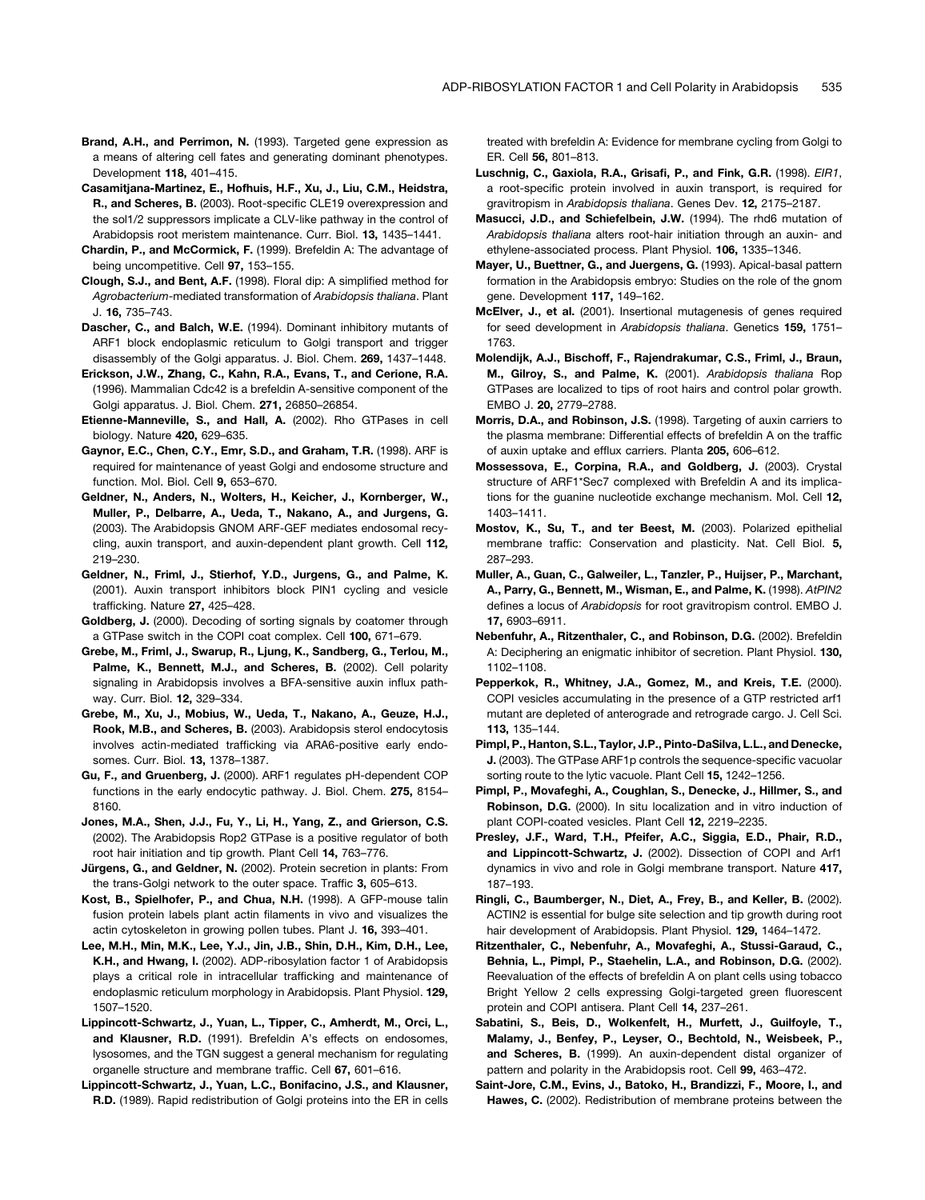- Brand, A.H., and Perrimon, N. (1993). Targeted gene expression as a means of altering cell fates and generating dominant phenotypes. Development 118, 401–415.
- Casamitjana-Martinez, E., Hofhuis, H.F., Xu, J., Liu, C.M., Heidstra, R., and Scheres, B. (2003). Root-specific CLE19 overexpression and the sol1/2 suppressors implicate a CLV-like pathway in the control of Arabidopsis root meristem maintenance. Curr. Biol. 13, 1435–1441.
- Chardin, P., and McCormick, F. (1999). Brefeldin A: The advantage of being uncompetitive. Cell 97, 153–155.
- Clough, S.J., and Bent, A.F. (1998). Floral dip: A simplified method for *Agrobacterium*-mediated transformation of *Arabidopsis thaliana*. Plant J. 16, 735–743.
- Dascher, C., and Balch, W.E. (1994). Dominant inhibitory mutants of ARF1 block endoplasmic reticulum to Golgi transport and trigger disassembly of the Golgi apparatus. J. Biol. Chem. 269, 1437–1448.
- Erickson, J.W., Zhang, C., Kahn, R.A., Evans, T., and Cerione, R.A. (1996). Mammalian Cdc42 is a brefeldin A-sensitive component of the Golgi apparatus. J. Biol. Chem. 271, 26850–26854.
- Etienne-Manneville, S., and Hall, A. (2002). Rho GTPases in cell biology. Nature 420, 629–635.
- Gaynor, E.C., Chen, C.Y., Emr, S.D., and Graham, T.R. (1998). ARF is required for maintenance of yeast Golgi and endosome structure and function. Mol. Biol. Cell 9, 653–670.
- Geldner, N., Anders, N., Wolters, H., Keicher, J., Kornberger, W., Muller, P., Delbarre, A., Ueda, T., Nakano, A., and Jurgens, G. (2003). The Arabidopsis GNOM ARF-GEF mediates endosomal recycling, auxin transport, and auxin-dependent plant growth. Cell 112, 219–230.
- Geldner, N., Friml, J., Stierhof, Y.D., Jurgens, G., and Palme, K. (2001). Auxin transport inhibitors block PIN1 cycling and vesicle trafficking. Nature 27, 425–428.
- Goldberg, J. (2000). Decoding of sorting signals by coatomer through a GTPase switch in the COPI coat complex. Cell 100, 671–679.
- Grebe, M., Friml, J., Swarup, R., Ljung, K., Sandberg, G., Terlou, M., Palme, K., Bennett, M.J., and Scheres, B. (2002). Cell polarity signaling in Arabidopsis involves a BFA-sensitive auxin influx pathway. Curr. Biol. 12, 329–334.
- Grebe, M., Xu, J., Mobius, W., Ueda, T., Nakano, A., Geuze, H.J., Rook, M.B., and Scheres, B. (2003). Arabidopsis sterol endocytosis involves actin-mediated trafficking via ARA6-positive early endosomes. Curr. Biol. 13, 1378–1387.
- Gu, F., and Gruenberg, J. (2000). ARF1 regulates pH-dependent COP functions in the early endocytic pathway. J. Biol. Chem. 275, 8154– 8160.
- Jones, M.A., Shen, J.J., Fu, Y., Li, H., Yang, Z., and Grierson, C.S. (2002). The Arabidopsis Rop2 GTPase is a positive regulator of both root hair initiation and tip growth. Plant Cell 14, 763–776.
- Jürgens, G., and Geldner, N. (2002). Protein secretion in plants: From the trans-Golgi network to the outer space. Traffic 3, 605–613.
- Kost, B., Spielhofer, P., and Chua, N.H. (1998). A GFP-mouse talin fusion protein labels plant actin filaments in vivo and visualizes the actin cytoskeleton in growing pollen tubes. Plant J. 16, 393–401.
- Lee, M.H., Min, M.K., Lee, Y.J., Jin, J.B., Shin, D.H., Kim, D.H., Lee, K.H., and Hwang, I. (2002). ADP-ribosylation factor 1 of Arabidopsis plays a critical role in intracellular trafficking and maintenance of endoplasmic reticulum morphology in Arabidopsis. Plant Physiol. 129, 1507–1520.
- Lippincott-Schwartz, J., Yuan, L., Tipper, C., Amherdt, M., Orci, L., and Klausner, R.D. (1991). Brefeldin A's effects on endosomes, lysosomes, and the TGN suggest a general mechanism for regulating organelle structure and membrane traffic. Cell 67, 601–616.
- Lippincott-Schwartz, J., Yuan, L.C., Bonifacino, J.S., and Klausner, R.D. (1989). Rapid redistribution of Golgi proteins into the ER in cells

treated with brefeldin A: Evidence for membrane cycling from Golgi to ER. Cell 56, 801–813.

- Luschnig, C., Gaxiola, R.A., Grisafi, P., and Fink, G.R. (1998). *EIR1*, a root-specific protein involved in auxin transport, is required for gravitropism in *Arabidopsis thaliana*. Genes Dev. 12, 2175–2187.
- Masucci, J.D., and Schiefelbein, J.W. (1994). The rhd6 mutation of *Arabidopsis thaliana* alters root-hair initiation through an auxin- and ethylene-associated process. Plant Physiol. 106, 1335–1346.
- Mayer, U., Buettner, G., and Juergens, G. (1993). Apical-basal pattern formation in the Arabidopsis embryo: Studies on the role of the gnom gene. Development 117, 149–162.
- McElver, J., et al. (2001). Insertional mutagenesis of genes required for seed development in *Arabidopsis thaliana*. Genetics 159, 1751– 1763.
- Molendijk, A.J., Bischoff, F., Rajendrakumar, C.S., Friml, J., Braun, M., Gilroy, S., and Palme, K. (2001). *Arabidopsis thaliana* Rop GTPases are localized to tips of root hairs and control polar growth. EMBO J. 20, 2779–2788.
- Morris, D.A., and Robinson, J.S. (1998). Targeting of auxin carriers to the plasma membrane: Differential effects of brefeldin A on the traffic of auxin uptake and efflux carriers. Planta 205, 606–612.
- Mossessova, E., Corpina, R.A., and Goldberg, J. (2003). Crystal structure of ARF1\*Sec7 complexed with Brefeldin A and its implications for the guanine nucleotide exchange mechanism. Mol. Cell 12, 1403–1411.
- Mostov, K., Su, T., and ter Beest, M. (2003). Polarized epithelial membrane traffic: Conservation and plasticity. Nat. Cell Biol. 5, 287–293.
- Muller, A., Guan, C., Galweiler, L., Tanzler, P., Huijser, P., Marchant, A., Parry, G., Bennett, M., Wisman, E., and Palme, K. (1998). *AtPIN2* defines a locus of *Arabidopsis* for root gravitropism control. EMBO J. 17, 6903–6911.
- Nebenfuhr, A., Ritzenthaler, C., and Robinson, D.G. (2002). Brefeldin A: Deciphering an enigmatic inhibitor of secretion. Plant Physiol. 130, 1102–1108.
- Pepperkok, R., Whitney, J.A., Gomez, M., and Kreis, T.E. (2000). COPI vesicles accumulating in the presence of a GTP restricted arf1 mutant are depleted of anterograde and retrograde cargo. J. Cell Sci. 113, 135–144.
- Pimpl, P., Hanton, S.L., Taylor, J.P., Pinto-DaSilva, L.L., and Denecke, J. (2003). The GTPase ARF1p controls the sequence-specific vacuolar sorting route to the lytic vacuole. Plant Cell 15, 1242–1256.
- Pimpl, P., Movafeghi, A., Coughlan, S., Denecke, J., Hillmer, S., and Robinson, D.G. (2000). In situ localization and in vitro induction of plant COPI-coated vesicles. Plant Cell 12, 2219–2235.
- Presley, J.F., Ward, T.H., Pfeifer, A.C., Siggia, E.D., Phair, R.D., and Lippincott-Schwartz, J. (2002). Dissection of COPI and Arf1 dynamics in vivo and role in Golgi membrane transport. Nature 417, 187–193.
- Ringli, C., Baumberger, N., Diet, A., Frey, B., and Keller, B. (2002). ACTIN2 is essential for bulge site selection and tip growth during root hair development of Arabidopsis. Plant Physiol. 129, 1464–1472.
- Ritzenthaler, C., Nebenfuhr, A., Movafeghi, A., Stussi-Garaud, C., Behnia, L., Pimpl, P., Staehelin, L.A., and Robinson, D.G. (2002). Reevaluation of the effects of brefeldin A on plant cells using tobacco Bright Yellow 2 cells expressing Golgi-targeted green fluorescent protein and COPI antisera. Plant Cell 14, 237–261.
- Sabatini, S., Beis, D., Wolkenfelt, H., Murfett, J., Guilfoyle, T., Malamy, J., Benfey, P., Leyser, O., Bechtold, N., Weisbeek, P., and Scheres, B. (1999). An auxin-dependent distal organizer of pattern and polarity in the Arabidopsis root. Cell 99, 463–472.
- Saint-Jore, C.M., Evins, J., Batoko, H., Brandizzi, F., Moore, I., and Hawes, C. (2002). Redistribution of membrane proteins between the